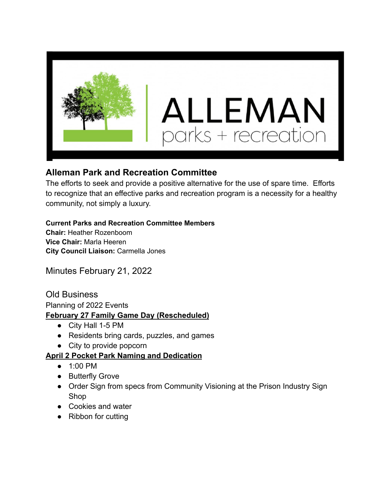

## **Alleman Park and Recreation Committee**

The efforts to seek and provide a positive alternative for the use of spare time. Efforts to recognize that an effective parks and recreation program is a necessity for a healthy community, not simply a luxury.

#### **Current Parks and Recreation Committee Members**

**Chair:** Heather Rozenboom **Vice Chair:** Marla Heeren **City Council Liaison:** Carmella Jones

Minutes February 21, 2022

Old Business Planning of 2022 Events **February 27 Family Game Day (Rescheduled)**

- City Hall 1-5 PM
- Residents bring cards, puzzles, and games
- City to provide popcorn

#### **April 2 Pocket Park Naming and Dedication**

- 1:00 PM
- Butterfly Grove
- Order Sign from specs from Community Visioning at the Prison Industry Sign Shop
- Cookies and water
- Ribbon for cutting